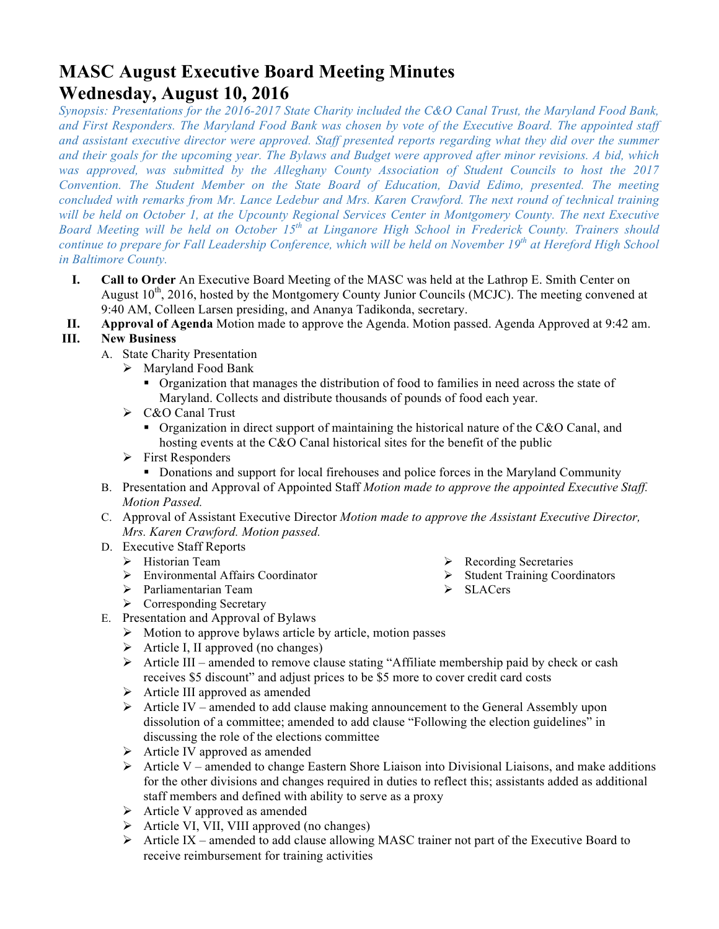# **MASC August Executive Board Meeting Minutes Wednesday, August 10, 2016**

*Synopsis: Presentations for the 2016-2017 State Charity included the C&O Canal Trust, the Maryland Food Bank, and First Responders. The Maryland Food Bank was chosen by vote of the Executive Board. The appointed staff*  and assistant executive director were approved. Staff presented reports regarding what they did over the summer *and their goals for the upcoming year. The Bylaws and Budget were approved after minor revisions. A bid, which was approved, was submitted by the Alleghany County Association of Student Councils to host the 2017 Convention. The Student Member on the State Board of Education, David Edimo, presented. The meeting concluded with remarks from Mr. Lance Ledebur and Mrs. Karen Crawford. The next round of technical training will be held on October 1, at the Upcounty Regional Services Center in Montgomery County. The next Executive Board Meeting will be held on October 15th at Linganore High School in Frederick County. Trainers should continue to prepare for Fall Leadership Conference, which will be held on November 19th at Hereford High School in Baltimore County.* 

- **I. Call to Order** An Executive Board Meeting of the MASC was held at the Lathrop E. Smith Center on August  $10^{th}$ , 2016, hosted by the Montgomery County Junior Councils (MCJC). The meeting convened at 9:40 AM, Colleen Larsen presiding, and Ananya Tadikonda, secretary.
- **II. Approval of Agenda** Motion made to approve the Agenda. Motion passed. Agenda Approved at 9:42 am.

### **III. New Business**

- A. State Charity Presentation
	- $\triangleright$  Maryland Food Bank
		- Organization that manages the distribution of food to families in need across the state of Maryland. Collects and distribute thousands of pounds of food each year.
	- $\triangleright$  C&O Canal Trust
		- Organization in direct support of maintaining the historical nature of the C&O Canal, and hosting events at the C&O Canal historical sites for the benefit of the public
	- $\triangleright$  First Responders
		- Donations and support for local firehouses and police forces in the Maryland Community
- B. Presentation and Approval of Appointed Staff *Motion made to approve the appointed Executive Staff. Motion Passed.*
- C. Approval of Assistant Executive Director *Motion made to approve the Assistant Executive Director, Mrs. Karen Crawford. Motion passed.*
- D. Executive Staff Reports
	- $\triangleright$  Historian Team
	- $\triangleright$  Environmental Affairs Coordinator
	- Ø Parliamentarian Team
	- $\triangleright$  Corresponding Secretary
- E. Presentation and Approval of Bylaws
	- $\triangleright$  Motion to approve bylaws article by article, motion passes
	- $\triangleright$  Article I, II approved (no changes)
	- Ø Article III amended to remove clause stating "Affiliate membership paid by check or cash receives \$5 discount" and adjust prices to be \$5 more to cover credit card costs
	- $\triangleright$  Article III approved as amended
	- $\triangleright$  Article IV amended to add clause making announcement to the General Assembly upon dissolution of a committee; amended to add clause "Following the election guidelines" in discussing the role of the elections committee
	- $\triangleright$  Article IV approved as amended
	- $\triangleright$  Article V amended to change Eastern Shore Liaison into Divisional Liaisons, and make additions for the other divisions and changes required in duties to reflect this; assistants added as additional staff members and defined with ability to serve as a proxy
	- $\triangleright$  Article V approved as amended
	- $\triangleright$  Article VI, VII, VIII approved (no changes)
	- $\triangleright$  Article IX amended to add clause allowing MASC trainer not part of the Executive Board to receive reimbursement for training activities
- $\triangleright$  Recording Secretaries
- $\triangleright$  Student Training Coordinators
- Ø SLACers